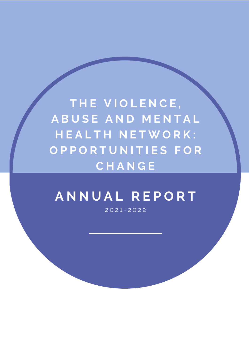**T H E V I O L E N C E , A B U S E A N D M E N T A L H E A L T H N E T W O R K : O P P O R T U N I T I E S F O R C H A N G E**

# **A N N U A L R E P O R T**

2 0 2 1 - 2 0 2 2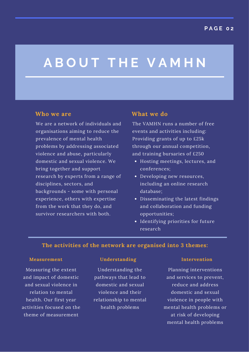# **A B O U T T H E V A M H N**

We are a network of individuals and organisations aiming to reduce the prevalence of mental health problems by addressing associated violence and abuse, particularly domestic and sexual violence. We bring together and support research by experts from a range of disciplines, sectors, and backgrounds - some with personal experience, others with expertise from the work that they do, and survivor researchers with both.

### **Who we are What we do**

The VAMHN runs a number of free events and activities including: Providing grants of up to £25k through our annual competition, and training bursaries of £250

- Hosting meetings, lectures, and conferences;
- Developing new resources, including an online research database;
- Disseminating the latest findings and collaboration and funding opportunities;
- Identifying priorities for future research

### **The activities of the network are organised into 3 themes:**

Measuring the extent and impact of domestic and sexual violence in relation to mental health. Our first year activities focused on the theme of measurement

#### **Measurement Understanding Intervention**

Understanding the pathways that lead to domestic and sexual violence and their relationship to mental health problems

Planning interventions and services to prevent, reduce and address domestic and sexual violence in people with mental health problems or at risk of developing mental health problems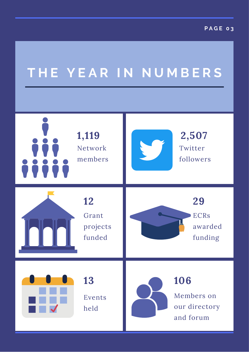# **T H E Y E A R I N N U M B E R S**

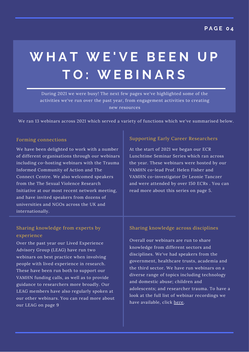# **W H A T W E ' V E B E E N U P T O : W E B I N A R S**

During 2021 we were busy! The next few pages we've highlighted some of the activities we've run over the past year, from engagement activities to creating new resources

We ran 13 webinars across 2021 which served a variety of functions which we've summarised below.

### Forming connections

We have been delighted to work with a number of different organisations through our webinars including co-hosting webinars with the Trauma Informed Community of Action and The Connect Centre. We also welcomed speakers from the The Sexual Violence Research Initiative at our most recent network meeting, and have invited speakers from dozens of universities and NGOs across the UK and internationally.

### Supporting Early Career Researchers

At the start of 2021 we began our ECR Lunchtime Seminar Series which ran across the year. These webinars were hosted by our VAMHN co-lead Prof. Helen Fisher and VAMHN co-investigator Dr Leonie Tanczer and were attended by over 150 ECRs . You can read more about this series on page 5.

### Sharing knowledge from experts by experience

Over the past year our Lived Experience Advisory Group (LEAG) have run two webinars on best practice when involving people with lived experience in research. These have been run both to support our VAMHN funding calls, as well as to provide guidance to researchers more broadly. Our LEAG members have also regularly spoken at our other webinars. You can read more about our LEAG on page 9

### Sharing knowledge across disciplines

Overall our webinars are run to share knowledge from different sectors and disciplines. We've had speakers from the government, healthcare trusts, academia and the third sector. We have run webinars on a diverse range of topics including technology and domestic abuse; children and adolescents; and researcher trauma. To have a look at the full list of webinar recordings we have available, click [here.](https://www.vamhn.co.uk/all-webinars.html)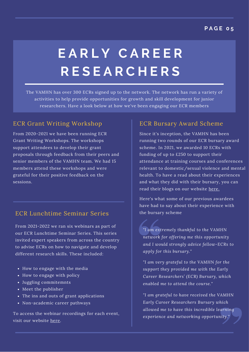### **P A G E 0 5**

# **E A R L Y C A R E E R R E S E A R C H E R S**

The VAMHN has over 300 ECRs signed up to the network. The network has run a variety of activities to help provide opportunities for growth and skill development for junior researchers. Have a look below at how we've been engaging our ECR members

## ECR Grant Writing Workshop

From 2020-2021 we have been running ECR Grant Writing Workshops. The workshops support attendees to develop their grant proposals through feedback from their peers and senior members of the VAMHN team. We had 15 members attend these workshops and were grateful for their positive feedback on the sessions.

## ECR Lunchtime Seminar Series

From 2021-2022 we ran six webinars as part of our ECR Lunchtime Seminar Series. This series invited expert speakers from across the country to advise ECRs on how to navigate and develop different research skills. These included:

- How to engage with the media
- How to engage with policy
- Juggling commitemnts
- Meet the publisher
- The ins and outs of grant applications
- Non-academic career pathways

To access the webinar recordings for each event, visit our website [here.](https://www.vamhn.co.uk/ecr-lunchtime-seminar-series.html)

## ECR Bursary Award Scheme

Since it's inception, the VAMHN has been running two rounds of our ECR bursary award scheme. In 2021, we awarded 10 ECRs with funding of up to £250 to support their attendance at training courses and conferences relevant to domestic/sexual violence and mental health. To have a read about their experiences and what they did with their bursary, you can read their blogs on our website [here.](https://www.vamhn.co.uk/blog/category/vamhn-bursary-award-blogs)

Here's what some of our previous awardees have had to say about their experience with the bursary scheme

*"I am extremely thankful to the VAMHN network for offering me this opportunity and I would strongly advice fellow-ECRs to apply for this bursary."*

*"I am very grateful to the VAMHN for the support they provided me with the Early Career Researchers' (ECR) Bursary, which enabled me to attend the course."*

*"I am grateful to have received the VAMHN Early Career Researchers Bursary which allowed me to have this incredible learning experience and networking opportunity."*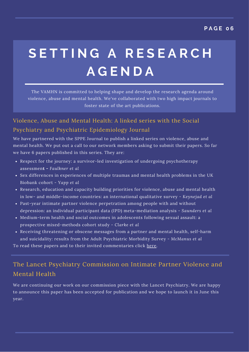# **S E T T I N G A R E S E A R C H A G E N D A**

The VAMHN is committed to helping shape and develop the research agenda around violence, abuse and mental health. We've collaborated with two high impact journals to foster state of the art publications.

# Violence, Abuse and Mental Health: A linked series with the Social Psychiatry and Psychiatric Epidemiology Journal

We have partnered with the SPPE Journal to publish a linked series on violence, abuse and mental health. We put out a call to our network members asking to submit their papers. So far we have 6 papers published in this series. They are:

- Respect for the journey: a survivor-led investigation of undergoing psychotherapy assessmen**t -** *Faulkner et al*
- Sex differences in experiences of multiple traumas and mental health problems in the UK Biobank cohort - *Yapp et al*
- Research, education and capacity building priorities for violence, abuse and mental health in low- and middle-income countries: an international qualitative survey - *Keynejad et al*
- Past-year intimate partner violence perpetration among people with and without depression: an individual participant data (IPD) meta-mediation analysis - *Saunders et al*
- Medium-term health and social outcomes in adolescents following sexual assault: a prospective mixed-methods cohort study - *Clarke et al*
- Receiving threatening or obscene messages from a partner and mental health, self-harm and suicidality: results from the Adult Psychiatric Morbidity Survey - *McManus et al*

To read these papers and to their invited commentaries click [here](https://www.vamhn.co.uk/sppe-series-on-violence--womens-health.html).

# The Lancet Psychiatry Commission on Intimate Partner Violence and Mental Health

We are continuing our work on our commission piece with the Lancet Psychiatry. We are happy to announce this paper has been accepted for publication and we hope to launch it in June this year.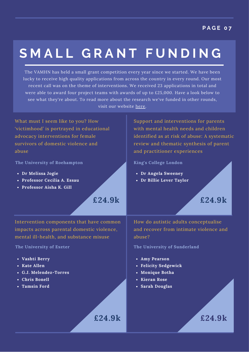# **S M A L L G R A N T F U N D I N G**

The VAMHN has held a small grant competition every year since we started. We have been lucky to receive high quality applications from across the country in every round. Our most recent call was on the theme of interventions. We received 23 applications in total and were able to award four project teams with awards of up to £25,000. Have a look below to see what they're about. To read more about the research we've funded in other rounds, visit our website [here.](https://www.vamhn.co.uk/funded-research.html)

**£24.9k**

**£24.9k**

What must I seem like to you? How 'victimhood' is portrayed in educational advocacy interventions for female survivors of domestic violence and abuse

**The University of Roehampton King's College London**

- **Dr Melissa Jogie**
- **Professor Cecilia A. Essau**
- **Professor Aisha K. Gill**

Support and interventions for parents with mental health needs and children identified as at risk of abuse: A systematic review and thematic synthesis of parent and practitioner experiences

- **Dr Angela Sweeney**
- **Dr Billie Lever Taylor**

**£24.9k**

Intervention components that have common impacts across parental domestic violence, mental ill-health, and substance misuse

- **Vashti Berry**
- **Kate Allen**
- **G.J. Melendez-Torres**
- **Chris Bonell**
- **Tamsin Ford**

How do autistic adults conceptualise and recover from intimate violence and abuse?

**The University of Exeter The University of Sunderland**

- **Amy Pearson**
- **Felicity Sedgewick**
- **Monique Botha**
- **Kieran Rose**
- **Sarah Douglas**

**£24.9k**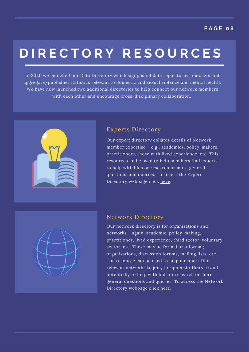# **D I R E C T O R Y R E S O U R C E S**

In 2020 we launched our Data Directory which signposted data repositories, datasets and aggregate/published statistics relevant to domestic and sexual violence and mental health. We have now launched two additional directories to help connect our network members with each other and encourage cross-disciplinary collaboration.



# Experts Directory

Our expert directory collates details of Network member expertise – e.g., academics, policy-makers, practitioners, those with lived experience, etc. This resource can be used to help members find experts to help with bids or research or more general questions and queries. To access the Expert Directory webpage click [here.](https://www.vamhn.co.uk/directories.html)

## Network Directory

Our network directory is for organisations and networks – again, academic, policy-making, practitioner, lived experience, third sector, voluntary sector, etc. These may be formal or informal; organisations, discussion forums, mailing lists; etc. The resource can be used to help members find relevant networks to join, to signpost others to and potentially to help with bids or research or more general questions and queries. To access the Network Directory webpage click [here.](https://www.vamhn.co.uk/directories.html)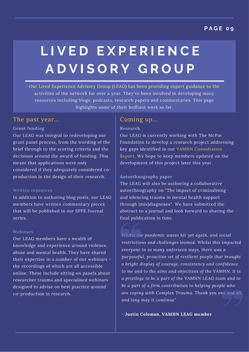### **P A G E 0 9**

# **L I V E D E X P E R I E N C E A D V I S O R Y G R O U P**

Our Lived Experience Advisory Group (LEAG) has been providing expert guidance to the activities of the network for over a year. They've been involved in developing many resources including blogs, podcasts, research papers and commentaries. This page highlights some of their brilliant work so far.

### The past year... Coming up...

### **Grant funding**

Our LEAG was integral to redeveloping our grant panel process, from the wording of the brief through to the scoring criteria and the decisions around the award of funding. This meant that applications were only considered if they adequately considered coproduction in the design of their research.

#### Written resources

In addition to authoring blog posts, our LEAG members have written commentary pieces that will be published in our SPPE Journal series.

#### Webinars

Our LEAG members have a wealth of knowledge and experience around violence, abuse and mental health. They have shared their expertise in a number of our webinars the recordings of which are all accessible online. These include sitting on panels about researcher trauma and specialised webinars designed to advise on best practice around co-production in research.

#### **Research**

Our LEAG is currently working with The McPin Foundation to develop a research project addressing key gaps identified in our VAMHN Consultation Report. We hope to keep members updated on the development of this project later this year.

#### **Autoethnography paper**

The LEAG will also be authoring a collaborative autoethnography on "The impact of criminalising and silencing trauma in mental health support through (mis)diagnoses". We have submitted the abstract to a journal and look forward to sharing the final publication in time.

*Whilst the pandemic waves hit yet again, and social restrictions and challenges loomed. Whilst this impacted everyone in so many unforseen ways, there was a purposeful, proactive set of resilient people that brought a bright display of courage, consistency and confidence to me and to the aims and objectives of the VAMHN. It is a privilege to be a part of the VAMHN LEAG team and to be a part of a firm contribution to helping people who are coping with Complex Trauma. Thank you one and all, and long may it continue"*

*-* **Justin Coleman, VAMHN LEAG member**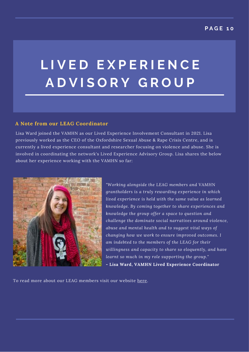# **L I V E D E X P E R I E N C E A D V I S O R Y G R O U P**

### **A Note from our LEAG Coordinator**

Lisa Ward joined the VAMHN as our Lived Experience Involvement Consultant in 2021. Lisa previously worked as the CEO of the Oxfordshire Sexual Abuse & Rape Crisis Centre, and is currently a lived experience consultant and researcher focusing on violence and abuse. She is involved in coordinating the network's Lived Experience Advisory Group. Lisa shares the below about her experience working with the VAMHN so far:



*"Working alongside the LEAG members and VAMHN grantholders is a truly rewarding experience in which lived experience is held with the same value as learned knowledge. By coming together to share experiences and knowledge the group offer a space to question and challenge the dominate social narratives around violence, abuse and mental health and to suggest vital ways of changing how we work to ensure improved outcomes. I am indebted to the members of the LEAG for their willingness and capacity to share so eloquently, and have learnt so much in my role supporting the group."* **- Lisa Ward, VAMHN Lived Experience Coordinator**

To read more about our LEAG members visit our website [here.](https://www.vamhn.co.uk/lived-experience-advisory-group.html)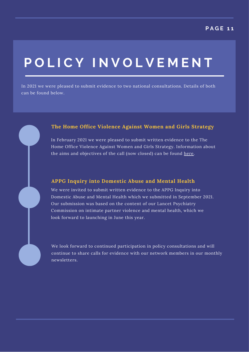# **P O L I C Y I N V O L V E M E N T**

In 2021 we were pleased to submit evidence to two national consultations. Details of both can be found below.

### **The Home Office Violence Against Women and Girls Strategy**

In February 2021 we were pleased to submit written evidence to the The Home Office Violence Against Women and Girls Strategy. Information about the aims and objectives of the call (now closed) can be found [here.](https://www.gov.uk/government/consultations/violence-against-women-and-girls-vawg-call-for-evidence/violence-against-women-and-girls-vawg-strategy-2021-2024-call-for-evidence)

### **APPG Inquiry into Domestic Abuse and Mental Health**

We were invited to submit written evidence to the APPG Inquiry into Domestic Abuse and Mental Health which we submitted in September 2021. Our submission was based on the content of our Lancet Psychiatry Commission on intimate partner violence and mental health, which we look forward to launching in June this year.

We look forward to continued participation in policy consultations and will continue to share calls for evidence with our network members in our monthly newsletters.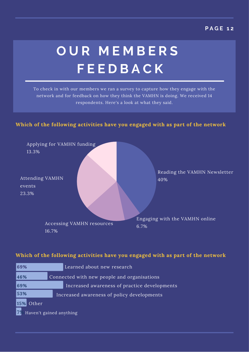## **P A G E 1 2**

# **O U R M E M B E R S F E E D B A C K**

To check in with our members we ran a survey to capture how they engage with the network and for feedback on how they think the VAMHN is doing. We received 14 respondents. Here's a look at what they said.

### **Which of the following activities have you engaged with as part of the network**



### **Which of the following activities have you engaged with as part of the network**

| 69%                           |                                             | Learned about new research                   |  |  |
|-------------------------------|---------------------------------------------|----------------------------------------------|--|--|
| 46%                           | Connected with new people and organisations |                                              |  |  |
| 69%                           |                                             | Increased awareness of practice developments |  |  |
| 53%                           | Increased awareness of policy developments  |                                              |  |  |
| 15%<br>Other                  |                                             |                                              |  |  |
| 79<br>Haven't gained anything |                                             |                                              |  |  |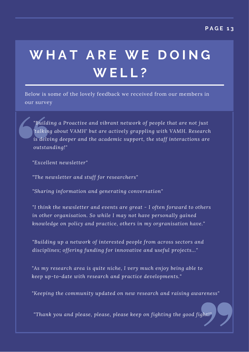# **W H A T A R E W E D O I N G W E L L ?**

Below is some of the lovely feedback we received from our members in our survey

*"Building a Proactive and vibrant network of people that are not just 'talking about VAMH' but are actively grappling with VAMH. Research is delving deeper and the academic support, the staff interactions are outstanding!"*

*"Excellent newsletter"*

*"The newsletter and stuff for researchers"*

*"Sharing information and generating conversation"*

*"I think the newsletter and events are great - I often forward to others in other organisation. So while I may not have personally gained knowledge on policy and practice, others in my orgranisation have."*

*"Building up a network of interested people from across sectors and disciplines; offering funding for innovative and useful projects..."*

*"As my research area is quite niche, I very much enjoy being able to keep up-to-date with research and practice developments."*

*"Keeping the community updated on new research and raising awareness"*

*"Thank* you and please, please, please keep on fighting the good fight!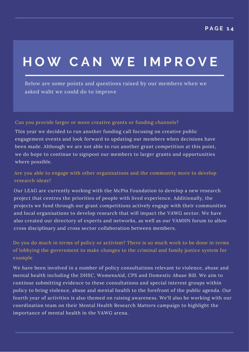# **H O W C A N W E I M P R O V E**

Below are some points and questions raised by our members when we asked waht we could do to improve

Can you provide larger or more creative grants or funding channels?

This year we decided to run another funding call focusing on creative public engagement events and look forward to updating our members when decisions have been made. Although we are not able to run another grant competition at this point, we do hope to continue to signpost our members to larger grants and opportunities where possible.

Are you able to engage with other organisations and the community more to develop research ideas?

Our LEAG are currently working with the McPin Foundation to develop a new research project that centres the priorities of people with lived experience. Additionally, the projects we fund through our grant competitions actively engage with their communities and local organisations to develop research that will impact the VAWG sector. We have also created our directory of experts and networks, as well as our VAMHN forum to allow cross disciplinary and cross sector collaboration between members.

Do you do much in terms of policy or activism? There is so much work to be done in terms of lobbying the government to make changes to the criminal and family justice system for example

We have been involved in a number of policy consultations relevant to violence, abuse and mental health including the DHSC, WomensAid, CPS and Domestic Abuse Bill. We aim to continue submitting evidence to these consultations and special interest groups within policy to bring violence, abuse and mental health to the forefront of the public agenda. Our fourth year of activities is also themed on raising awareness. We'll also be working with our coordination team on their Mental Health Research Matters campaign to highlight the importance of mental health in the VAWG arena.